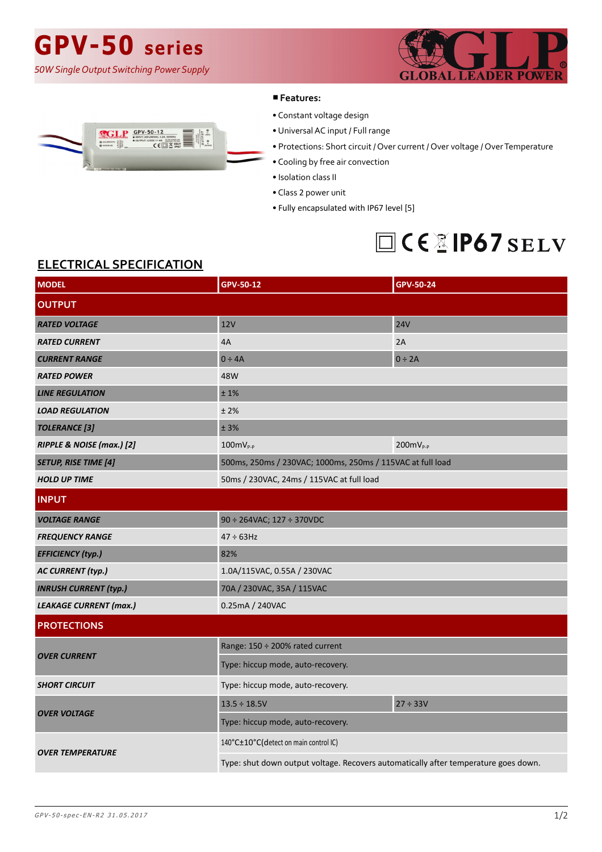# **GPV-50 series**

*50W Single Output Switching Power Supply*





#### ■**Features:**

- Constant voltage design
- Universal AC input / Full range
- Protections: Short circuit / Over current / Over voltage / Over Temperature
- Cooling by free air convection
- Isolation class II
- Class 2 power unit
- Fully encapsulated with IP67 level [5]

### □CEXIP67 SELV

### **ELECTRICAL SPECIFICATION**

| <b>MODEL</b>                  | GPV-50-12                                                                           | GPV-50-24         |
|-------------------------------|-------------------------------------------------------------------------------------|-------------------|
| <b>OUTPUT</b>                 |                                                                                     |                   |
| <b>RATED VOLTAGE</b>          | 12V                                                                                 | <b>24V</b>        |
| <b>RATED CURRENT</b>          | 4A                                                                                  | 2A                |
| <b>CURRENT RANGE</b>          | $0 \div 4A$                                                                         | $0 \div 2A$       |
| <b>RATED POWER</b>            | 48W                                                                                 |                   |
| <b>LINE REGULATION</b>        | ±1%                                                                                 |                   |
| <b>LOAD REGULATION</b>        | ±2%                                                                                 |                   |
| <b>TOLERANCE</b> [3]          | ± 3%                                                                                |                   |
| RIPPLE & NOISE (max.) [2]     | $100mVP-P$                                                                          | $200$ m $V_{P-P}$ |
| <b>SETUP, RISE TIME [4]</b>   | 500ms, 250ms / 230VAC; 1000ms, 250ms / 115VAC at full load                          |                   |
| <b>HOLD UP TIME</b>           | 50ms / 230VAC, 24ms / 115VAC at full load                                           |                   |
| <b>INPUT</b>                  |                                                                                     |                   |
| <b>VOLTAGE RANGE</b>          | $90 \div 264$ VAC; 127 $\div 370$ VDC                                               |                   |
| <b>FREQUENCY RANGE</b>        | $47 \div 63$ Hz                                                                     |                   |
| <b>EFFICIENCY (typ.)</b>      | 82%                                                                                 |                   |
| <b>AC CURRENT (typ.)</b>      | 1.0A/115VAC, 0.55A / 230VAC                                                         |                   |
| <b>INRUSH CURRENT (typ.)</b>  | 70A / 230VAC, 35A / 115VAC                                                          |                   |
| <b>LEAKAGE CURRENT (max.)</b> | 0.25mA / 240VAC                                                                     |                   |
| <b>PROTECTIONS</b>            |                                                                                     |                   |
| <b>OVER CURRENT</b>           | Range: 150 ÷ 200% rated current                                                     |                   |
|                               | Type: hiccup mode, auto-recovery.                                                   |                   |
| <b>SHORT CIRCUIT</b>          | Type: hiccup mode, auto-recovery.                                                   |                   |
| <b>OVER VOLTAGE</b>           | $13.5 \div 18.5V$                                                                   | 27 ÷ 33V          |
|                               | Type: hiccup mode, auto-recovery.                                                   |                   |
| <b>OVER TEMPERATURE</b>       | 140°C±10°C(detect on main control IC)                                               |                   |
|                               | Type: shut down output voltage. Recovers automatically after temperature goes down. |                   |